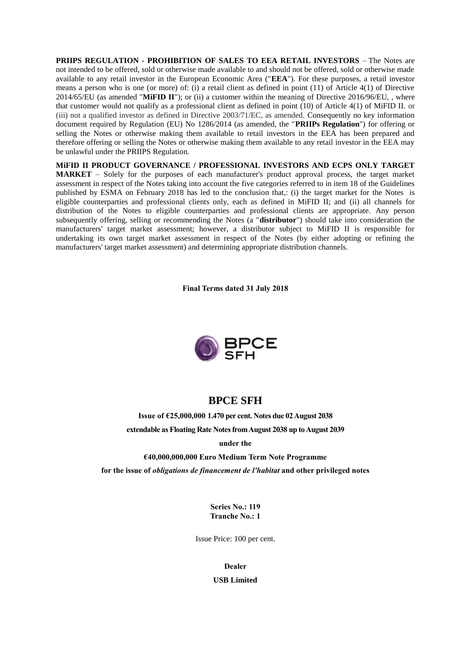**PRIIPS REGULATION - PROHIBITION OF SALES TO EEA RETAIL INVESTORS** – The Notes are not intended to be offered, sold or otherwise made available to and should not be offered, sold or otherwise made available to any retail investor in the European Economic Area ("**EEA**"). For these purposes, a retail investor means a person who is one (or more) of: (i) a retail client as defined in point (11) of Article 4(1) of Directive 2014/65/EU (as amended "**MiFID II**"); or (ii) a customer within the meaning of Directive 2016/96/EU, , where that customer would not qualify as a professional client as defined in point (10) of Article 4(1) of MiFID II. or (iii) not a qualified investor as defined in Directive 2003/71/EC, as amended. Consequently no key information document required by Regulation (EU) No 1286/2014 (as amended, the "**PRIIPs Regulation**") for offering or selling the Notes or otherwise making them available to retail investors in the EEA has been prepared and therefore offering or selling the Notes or otherwise making them available to any retail investor in the EEA may be unlawful under the PRIIPS Regulation.

**MiFID II PRODUCT GOVERNANCE / PROFESSIONAL INVESTORS AND ECPS ONLY TARGET MARKET** – Solely for the purposes of each manufacturer's product approval process, the target market assessment in respect of the Notes taking into account the five categories referred to in item 18 of the Guidelines published by ESMA on February 2018 has led to the conclusion that,: (i) the target market for the Notes is eligible counterparties and professional clients only, each as defined in MiFID II; and (ii) all channels for distribution of the Notes to eligible counterparties and professional clients are appropriate. Any person subsequently offering, selling or recommending the Notes (a "**distributor**") should take into consideration the manufacturers' target market assessment; however, a distributor subject to MiFID II is responsible for undertaking its own target market assessment in respect of the Notes (by either adopting or refining the manufacturers' target market assessment) and determining appropriate distribution channels.

**Final Terms dated 31 July 2018**



# **BPCE SFH**

**Issue of €25,000,000 1.470 per cent. Notes due 02 August 2038 extendable as Floating Rate Notes from August 2038 up to August 2039**

**under the** 

**€40,000,000,000 Euro Medium Term Note Programme**

**for the issue of** *obligations de financement de l'habitat* **and other privileged notes**

**Series No.: 119 Tranche No.: 1**

Issue Price: 100 per cent.

**Dealer**

**USB Limited**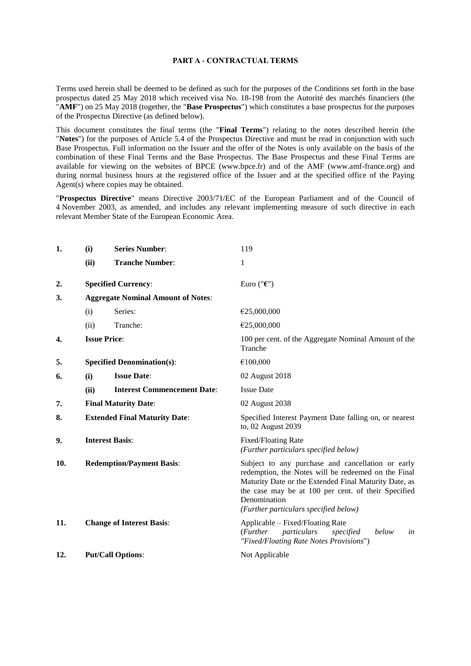#### **PART A - CONTRACTUAL TERMS**

Terms used herein shall be deemed to be defined as such for the purposes of the Conditions set forth in the base prospectus dated 25 May 2018 which received visa No. 18-198 from the Autorité des marchés financiers (the "**AMF**") on 25 May 2018 (together, the "**Base Prospectus**") which constitutes a base prospectus for the purposes of the Prospectus Directive (as defined below).

This document constitutes the final terms (the "**Final Terms**") relating to the notes described herein (the "**Notes**") for the purposes of Article 5.4 of the Prospectus Directive and must be read in conjunction with such Base Prospectus. Full information on the Issuer and the offer of the Notes is only available on the basis of the combination of these Final Terms and the Base Prospectus. The Base Prospectus and these Final Terms are available for viewing on the websites of BPCE (www.bpce.fr) and of the AMF (www.amf-france.org) and during normal business hours at the registered office of the Issuer and at the specified office of the Paying Agent(s) where copies may be obtained.

"**Prospectus Directive**" means Directive 2003/71/EC of the European Parliament and of the Council of 4 November 2003, as amended, and includes any relevant implementing measure of such directive in each relevant Member State of the European Economic Area.

| 1.  | (i)                                       | <b>Series Number:</b>              | 119                                                                                                                                                                                                                                                                               |
|-----|-------------------------------------------|------------------------------------|-----------------------------------------------------------------------------------------------------------------------------------------------------------------------------------------------------------------------------------------------------------------------------------|
|     | (ii)                                      | <b>Tranche Number:</b>             | 1                                                                                                                                                                                                                                                                                 |
| 2.  |                                           | <b>Specified Currency:</b>         | Euro (" $\epsilon$ ")                                                                                                                                                                                                                                                             |
| 3.  | <b>Aggregate Nominal Amount of Notes:</b> |                                    |                                                                                                                                                                                                                                                                                   |
|     | (i)                                       | Series:                            | €25,000,000                                                                                                                                                                                                                                                                       |
|     | (ii)                                      | Tranche:                           | €25,000,000                                                                                                                                                                                                                                                                       |
| 4.  |                                           | <b>Issue Price:</b>                | 100 per cent. of the Aggregate Nominal Amount of the<br>Tranche                                                                                                                                                                                                                   |
| 5.  | <b>Specified Denomination(s):</b>         |                                    | €100,000                                                                                                                                                                                                                                                                          |
| 6.  | (i)                                       | <b>Issue Date:</b>                 | 02 August 2018                                                                                                                                                                                                                                                                    |
|     | (ii)                                      | <b>Interest Commencement Date:</b> | <b>Issue Date</b>                                                                                                                                                                                                                                                                 |
| 7.  | <b>Final Maturity Date:</b>               |                                    | 02 August 2038                                                                                                                                                                                                                                                                    |
| 8.  | <b>Extended Final Maturity Date:</b>      |                                    | Specified Interest Payment Date falling on, or nearest<br>to, 02 August 2039                                                                                                                                                                                                      |
| 9.  | <b>Interest Basis:</b>                    |                                    | Fixed/Floating Rate<br>(Further particulars specified below)                                                                                                                                                                                                                      |
| 10. | <b>Redemption/Payment Basis:</b>          |                                    | Subject to any purchase and cancellation or early<br>redemption, the Notes will be redeemed on the Final<br>Maturity Date or the Extended Final Maturity Date, as<br>the case may be at 100 per cent. of their Specified<br>Denomination<br>(Further particulars specified below) |
| 11. |                                           | <b>Change of Interest Basis:</b>   | Applicable - Fixed/Floating Rate<br>particulars<br>( <i>Further</i><br>below<br>specified<br>in<br>"Fixed/Floating Rate Notes Provisions")                                                                                                                                        |
| 12. |                                           | <b>Put/Call Options:</b>           | Not Applicable                                                                                                                                                                                                                                                                    |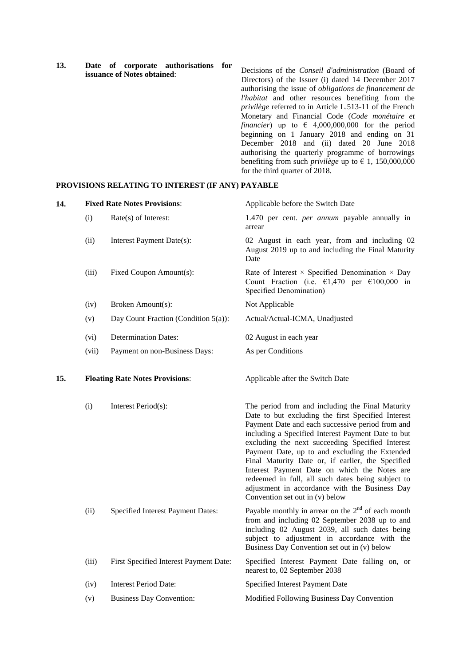**13. Date of corporate authorisations for issuance of Notes obtained**: Decisions of the *Conseil d'administration* (Board of Directors) of the Issuer (i) dated 14 December 2017 authorising the issue of *obligations de financement de l'habitat* and other resources benefiting from the *privilège* referred to in Article L.513-11 of the French Monetary and Financial Code (*Code monétaire et financier*) up to  $\epsilon$  4,000,000,000 for the period beginning on 1 January 2018 and ending on 31 December 2018 and (ii) dated 20 June 2018 authorising the quarterly programme of borrowings benefiting from such *privilège* up to  $\epsilon$  1, 150,000,000

for the third quarter of 2018.

#### **PROVISIONS RELATING TO INTEREST (IF ANY) PAYABLE**

| 14. |       | <b>Fixed Rate Notes Provisions:</b>     | Applicable before the Switch Date                                                                                                                                                                                                                                                                                                                                                                                                                                                                                                                                     |
|-----|-------|-----------------------------------------|-----------------------------------------------------------------------------------------------------------------------------------------------------------------------------------------------------------------------------------------------------------------------------------------------------------------------------------------------------------------------------------------------------------------------------------------------------------------------------------------------------------------------------------------------------------------------|
|     | (i)   | Rate(s) of Interest:                    | 1.470 per cent. <i>per annum</i> payable annually in<br>arrear                                                                                                                                                                                                                                                                                                                                                                                                                                                                                                        |
|     | (ii)  | Interest Payment Date(s):               | 02 August in each year, from and including 02<br>August 2019 up to and including the Final Maturity<br>Date                                                                                                                                                                                                                                                                                                                                                                                                                                                           |
|     | (iii) | Fixed Coupon Amount(s):                 | Rate of Interest $\times$ Specified Denomination $\times$ Day<br>Count Fraction (i.e. $\epsilon$ 1,470 per $\epsilon$ 100,000 in<br>Specified Denomination)                                                                                                                                                                                                                                                                                                                                                                                                           |
|     | (iv)  | Broken Amount(s):                       | Not Applicable                                                                                                                                                                                                                                                                                                                                                                                                                                                                                                                                                        |
|     | (v)   | Day Count Fraction (Condition $5(a)$ ): | Actual/Actual-ICMA, Unadjusted                                                                                                                                                                                                                                                                                                                                                                                                                                                                                                                                        |
|     | (vi)  | <b>Determination Dates:</b>             | 02 August in each year                                                                                                                                                                                                                                                                                                                                                                                                                                                                                                                                                |
|     | (vii) | Payment on non-Business Days:           | As per Conditions                                                                                                                                                                                                                                                                                                                                                                                                                                                                                                                                                     |
| 15. |       | <b>Floating Rate Notes Provisions:</b>  | Applicable after the Switch Date                                                                                                                                                                                                                                                                                                                                                                                                                                                                                                                                      |
|     | (i)   | Interest Period(s):                     | The period from and including the Final Maturity<br>Date to but excluding the first Specified Interest<br>Payment Date and each successive period from and<br>including a Specified Interest Payment Date to but<br>excluding the next succeeding Specified Interest<br>Payment Date, up to and excluding the Extended<br>Final Maturity Date or, if earlier, the Specified<br>Interest Payment Date on which the Notes are<br>redeemed in full, all such dates being subject to<br>adjustment in accordance with the Business Day<br>Convention set out in (v) below |
|     | (ii)  | Specified Interest Payment Dates:       | Payable monthly in arrear on the $2nd$ of each month<br>from and including 02 September 2038 up to and<br>including 02 August 2039, all such dates being<br>subject to adjustment in accordance with the<br>Business Day Convention set out in (v) below                                                                                                                                                                                                                                                                                                              |
|     | (iii) | First Specified Interest Payment Date:  | Specified Interest Payment Date falling on, or<br>nearest to, 02 September 2038                                                                                                                                                                                                                                                                                                                                                                                                                                                                                       |
|     | (iv)  | <b>Interest Period Date:</b>            | Specified Interest Payment Date                                                                                                                                                                                                                                                                                                                                                                                                                                                                                                                                       |
|     | (v)   | <b>Business Day Convention:</b>         | Modified Following Business Day Convention                                                                                                                                                                                                                                                                                                                                                                                                                                                                                                                            |
|     |       |                                         |                                                                                                                                                                                                                                                                                                                                                                                                                                                                                                                                                                       |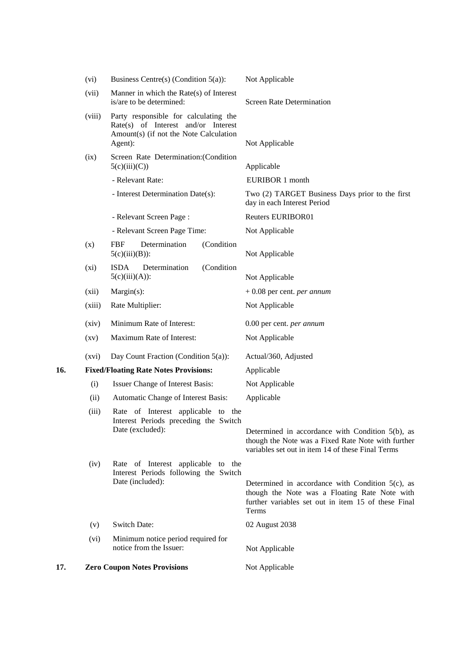|     | (vi)               | Business Centre(s) (Condition $5(a)$ ):                                                                                           | Not Applicable                                                                                                                                                       |
|-----|--------------------|-----------------------------------------------------------------------------------------------------------------------------------|----------------------------------------------------------------------------------------------------------------------------------------------------------------------|
|     | (vii)              | Manner in which the Rate(s) of Interest<br>is/are to be determined:                                                               | <b>Screen Rate Determination</b>                                                                                                                                     |
|     | (viii)             | Party responsible for calculating the<br>Rate(s) of Interest and/or Interest<br>Amount(s) (if not the Note Calculation<br>Agent): | Not Applicable                                                                                                                                                       |
|     | (ix)               | Screen Rate Determination: (Condition<br>5(c)(iii)(C))                                                                            | Applicable                                                                                                                                                           |
|     |                    | - Relevant Rate:                                                                                                                  | <b>EURIBOR 1 month</b>                                                                                                                                               |
|     |                    | - Interest Determination Date(s):                                                                                                 | Two (2) TARGET Business Days prior to the first<br>day in each Interest Period                                                                                       |
|     |                    | - Relevant Screen Page:                                                                                                           | <b>Reuters EURIBOR01</b>                                                                                                                                             |
|     |                    | - Relevant Screen Page Time:                                                                                                      | Not Applicable                                                                                                                                                       |
|     | (x)                | Determination<br><b>FBF</b><br>(Condition<br>$5(c)(iii)(B))$ :                                                                    | Not Applicable                                                                                                                                                       |
|     | (xi)               | <b>ISDA</b><br>Determination<br>(Condition<br>$5(c)(iii)(A))$ :                                                                   | Not Applicable                                                                                                                                                       |
|     | (xii)              | Margin(s):                                                                                                                        | $+0.08$ per cent. per annum                                                                                                                                          |
|     | (xiii)             | Rate Multiplier:                                                                                                                  | Not Applicable                                                                                                                                                       |
|     | (xiv)              | Minimum Rate of Interest:                                                                                                         | 0.00 per cent. per annum                                                                                                                                             |
|     | $\left( xy\right)$ | Maximum Rate of Interest:                                                                                                         | Not Applicable                                                                                                                                                       |
|     | (xvi)              | Day Count Fraction (Condition $5(a)$ ):                                                                                           | Actual/360, Adjusted                                                                                                                                                 |
| 16. |                    | <b>Fixed/Floating Rate Notes Provisions:</b>                                                                                      | Applicable                                                                                                                                                           |
|     | (i)                | Issuer Change of Interest Basis:                                                                                                  | Not Applicable                                                                                                                                                       |
|     | (ii)               | Automatic Change of Interest Basis:                                                                                               | Applicable                                                                                                                                                           |
|     | (iii)              | Rate of Interest applicable to the<br>Interest Periods preceding the Switch<br>Date (excluded):                                   | Determined in accordance with Condition 5(b), as<br>though the Note was a Fixed Rate Note with further<br>variables set out in item 14 of these Final Terms          |
|     | (iv)               | Rate of Interest applicable to the<br>Interest Periods following the Switch<br>Date (included):                                   | Determined in accordance with Condition $5(c)$ , as<br>though the Note was a Floating Rate Note with<br>further variables set out in item 15 of these Final<br>Terms |
|     | (v)                | <b>Switch Date:</b>                                                                                                               | 02 August 2038                                                                                                                                                       |
|     | (vi)               | Minimum notice period required for<br>notice from the Issuer:                                                                     | Not Applicable                                                                                                                                                       |
| 17. |                    | <b>Zero Coupon Notes Provisions</b>                                                                                               | Not Applicable                                                                                                                                                       |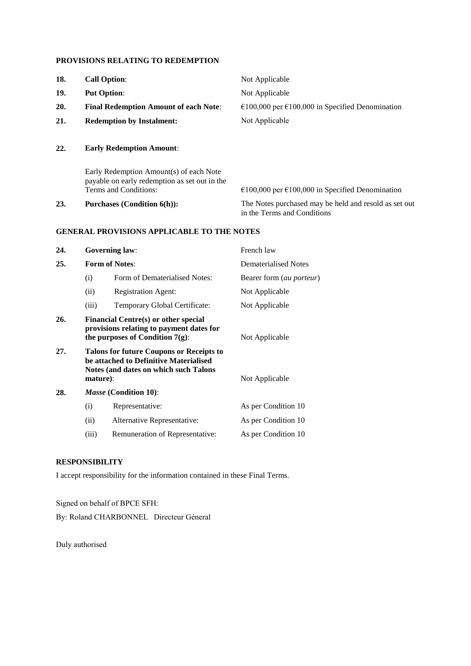#### **PROVISIONS RELATING TO REDEMPTION**

| 18. | <b>Call Option:</b>                          | Not Applicable                                                      |
|-----|----------------------------------------------|---------------------------------------------------------------------|
| 19. | <b>Put Option:</b>                           | Not Applicable                                                      |
| 20. | <b>Final Redemption Amount of each Note:</b> | $\epsilon$ 100,000 per $\epsilon$ 100,000 in Specified Denomination |
| 21. | <b>Redemption by Instalment:</b>             | Not Applicable                                                      |
| 22. | <b>Early Redemption Amount:</b>              |                                                                     |
|     | Early Redemption Amount(s) of each Note      |                                                                     |

payable on early redemption as set out in the €100,000 per €100,000 in Specified Denomination 23. **Purchases (Condition 6(h)):** The Notes purchased may be held and resold as set out in the Terms and Conditions

### **GENERAL PROVISIONS APPLICABLE TO THE NOTES**

| 24. |                                                                                                                                                 | <b>Governing law:</b>           | French law                        |
|-----|-------------------------------------------------------------------------------------------------------------------------------------------------|---------------------------------|-----------------------------------|
| 25. |                                                                                                                                                 | <b>Form of Notes:</b>           | Dematerialised Notes              |
|     | (i)                                                                                                                                             | Form of Dematerialised Notes:   | Bearer form ( <i>au porteur</i> ) |
|     | (ii)                                                                                                                                            | <b>Registration Agent:</b>      | Not Applicable                    |
|     | (iii)                                                                                                                                           | Temporary Global Certificate:   | Not Applicable                    |
| 26. | <b>Financial Centre(s) or other special</b><br>provisions relating to payment dates for<br>the purposes of Condition $7(g)$ :<br>Not Applicable |                                 |                                   |
| 27. | <b>Talons for future Coupons or Receipts to</b><br>be attached to Definitive Materialised<br>Notes (and dates on which such Talons<br>mature):  |                                 | Not Applicable                    |
| 28. |                                                                                                                                                 | <i>Masse</i> (Condition 10):    |                                   |
|     | (i)                                                                                                                                             | Representative:                 | As per Condition 10               |
|     | (ii)                                                                                                                                            | Alternative Representative:     | As per Condition 10               |
|     | (iii)                                                                                                                                           | Remuneration of Representative: | As per Condition 10               |

#### **RESPONSIBILITY**

I accept responsibility for the information contained in these Final Terms.

Signed on behalf of BPCE SFH: By: Roland CHARBONNEL Directeur Géneral

Duly authorised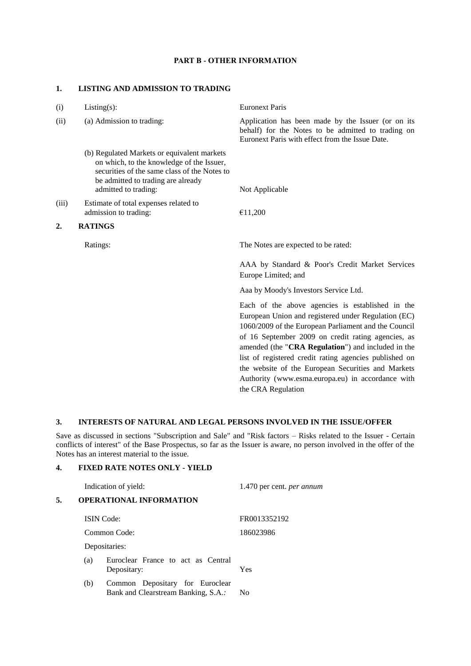#### **PART B - OTHER INFORMATION**

#### **1. LISTING AND ADMISSION TO TRADING**

| (i)   | $Listing(s)$ :                                                                                                                                                                                         | <b>Euronext Paris</b>                                                                                                                                                                                                                                                                                                                                                                                                                            |
|-------|--------------------------------------------------------------------------------------------------------------------------------------------------------------------------------------------------------|--------------------------------------------------------------------------------------------------------------------------------------------------------------------------------------------------------------------------------------------------------------------------------------------------------------------------------------------------------------------------------------------------------------------------------------------------|
| (ii)  | (a) Admission to trading:                                                                                                                                                                              | Application has been made by the Issuer (or on its<br>behalf) for the Notes to be admitted to trading on<br>Euronext Paris with effect from the Issue Date.                                                                                                                                                                                                                                                                                      |
|       | (b) Regulated Markets or equivalent markets<br>on which, to the knowledge of the Issuer,<br>securities of the same class of the Notes to<br>be admitted to trading are already<br>admitted to trading: | Not Applicable                                                                                                                                                                                                                                                                                                                                                                                                                                   |
| (iii) | Estimate of total expenses related to<br>admission to trading:                                                                                                                                         | €11,200                                                                                                                                                                                                                                                                                                                                                                                                                                          |
| 2.    | <b>RATINGS</b>                                                                                                                                                                                         |                                                                                                                                                                                                                                                                                                                                                                                                                                                  |
|       | Ratings:                                                                                                                                                                                               | The Notes are expected to be rated:                                                                                                                                                                                                                                                                                                                                                                                                              |
|       |                                                                                                                                                                                                        | AAA by Standard & Poor's Credit Market Services<br>Europe Limited; and                                                                                                                                                                                                                                                                                                                                                                           |
|       |                                                                                                                                                                                                        | Aaa by Moody's Investors Service Ltd.                                                                                                                                                                                                                                                                                                                                                                                                            |
|       |                                                                                                                                                                                                        | Each of the above agencies is established in the<br>European Union and registered under Regulation (EC)<br>1060/2009 of the European Parliament and the Council<br>of 16 September 2009 on credit rating agencies, as<br>amended (the "CRA Regulation") and included in the<br>list of registered credit rating agencies published on<br>the website of the European Securities and Markets<br>Authority (www.esma.europa.eu) in accordance with |

### **3. INTERESTS OF NATURAL AND LEGAL PERSONS INVOLVED IN THE ISSUE/OFFER**

Save as discussed in sections "Subscription and Sale" and "Risk factors – Risks related to the Issuer - Certain conflicts of interest" of the Base Prospectus, so far as the Issuer is aware, no person involved in the offer of the Notes has an interest material to the issue.

the CRA Regulation

## **4. FIXED RATE NOTES ONLY - YIELD**

|    |     | Indication of yield:                                                   | 1.470 per cent. <i>per annum</i> |
|----|-----|------------------------------------------------------------------------|----------------------------------|
| 5. |     | <b>OPERATIONAL INFORMATION</b>                                         |                                  |
|    |     | <b>ISIN</b> Code:                                                      | FR0013352192                     |
|    |     | Common Code:                                                           | 186023986                        |
|    |     | Depositaries:                                                          |                                  |
|    | (a) | Euroclear France to act as Central<br>Depositary:                      | Yes                              |
|    | (b) | Common Depositary for Euroclear<br>Bank and Clearstream Banking, S.A.: | No                               |